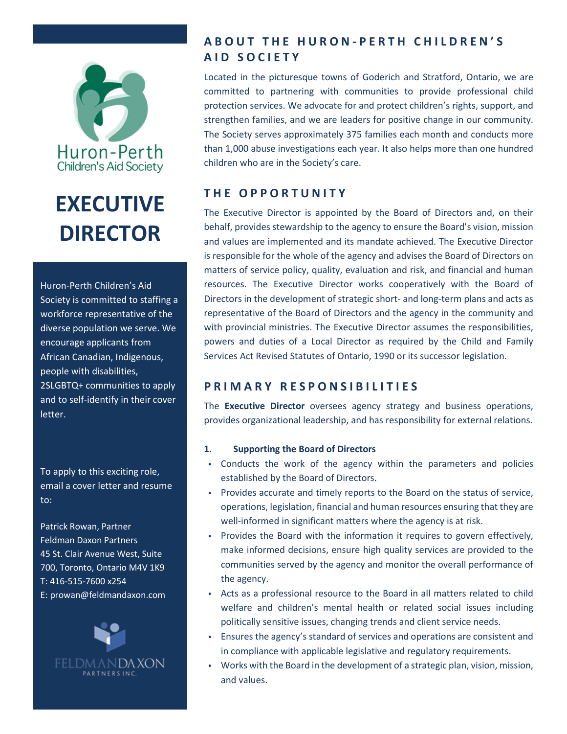

# **EXECUTIVE DIRECTOR**

Huron-Perth Children's Aid Society is committed to staffing a workforce representative of the diverse population we serve. We encourage applicants from African Canadian, Indigenous, people with disabilities, 2SLGBTQ+ communities to apply and to self-identify in their cover letter.

To apply to this exciting role, email a cover letter and resume to:

Patrick Rowan, Partner Feldman Daxon Partners 45 St. Clair Avenue West, Suite 700, Toronto, Ontario M4V 1K9 T: 416-515-7600 x254 E: [prowan@feldmandaxon.com](mailto:prowan@feldmandaxon.com)



## **ABOUT THE HURON - PERTH CHILDREN'S AID SOCIETY**

Located in the picturesque towns of Goderich and Stratford, Ontario, we are committed to partnering with communities to provide professional child protection services. We advocate for and protect children's rights, support, and strengthen families, and we are leaders for positive change in our community. The Society serves approximately 375 families each month and conducts more than 1,000 abuse investigations each year. It also helps more than one hundred children who are in the Society's care.

# **THE OPPORTUNITY**

The Executive Director is appointed by the Board of Directors and, on their behalf, provides stewardship to the agency to ensure the Board's vision, mission and values are implemented and its mandate achieved. The Executive Director is responsible for the whole of the agency and advises the Board of Directors on matters of service policy, quality, evaluation and risk, and financial and human resources. The Executive Director works cooperatively with the Board of Directors in the development of strategic short- and long-term plans and acts as representative of the Board of Directors and the agency in the community and with provincial ministries. The Executive Director assumes the responsibilities, powers and duties of a Local Director as required by the Child and Family Services Act Revised Statutes of Ontario, 1990 or its successor legislation.

## **PRIMARY RESPONSIBILITIES**

The **Executive Director** oversees agency strategy and business operations, provides organizational leadership, and has responsibility for external relations.

#### **1. Supporting the Board of Directors**

- Conducts the work of the agency within the parameters and policies established by the Board of Directors.
- Provides accurate and timely reports to the Board on the status of service, operations, legislation, financial and human resources ensuring that they are well-informed in significant matters where the agency is at risk.
- Provides the Board with the information it requires to govern effectively, make informed decisions, ensure high quality services are provided to the communities served by the agency and monitor the overall performance of the agency.
- Acts as a professional resource to the Board in all matters related to child welfare and children's mental health or related social issues including politically sensitive issues, changing trends and client service needs.
- Ensures the agency's standard of services and operations are consistent and in compliance with applicable legislative and regulatory requirements.
- Works with the Board in the development of a strategic plan, vision, mission, and values.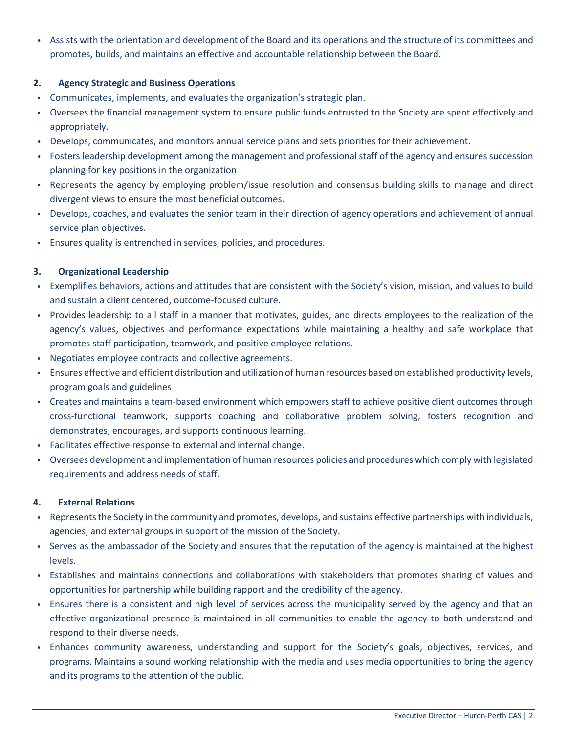• Assists with the orientation and development of the Board and its operations and the structure of its committees and promotes, builds, and maintains an effective and accountable relationship between the Board.

#### **2. Agency Strategic and Business Operations**

- Communicates, implements, and evaluates the organization's strategic plan.
- Oversees the financial management system to ensure public funds entrusted to the Society are spent effectively and appropriately.
- Develops, communicates, and monitors annual service plans and sets priorities for their achievement.
- Fosters leadership development among the management and professional staff of the agency and ensures succession planning for key positions in the organization
- Represents the agency by employing problem/issue resolution and consensus building skills to manage and direct divergent views to ensure the most beneficial outcomes.
- Develops, coaches, and evaluates the senior team in their direction of agency operations and achievement of annual service plan objectives.
- Ensures quality is entrenched in services, policies, and procedures.

#### **3. Organizational Leadership**

- Exemplifies behaviors, actions and attitudes that are consistent with the Society's vision, mission, and values to build and sustain a client centered, outcome-focused culture.
- Provides leadership to all staff in a manner that motivates, guides, and directs employees to the realization of the agency's values, objectives and performance expectations while maintaining a healthy and safe workplace that promotes staff participation, teamwork, and positive employee relations.
- Negotiates employee contracts and collective agreements.
- Ensures effective and efficient distribution and utilization of human resources based on established productivity levels, program goals and guidelines
- Creates and maintains a team-based environment which empowers staff to achieve positive client outcomes through cross-functional teamwork, supports coaching and collaborative problem solving, fosters recognition and demonstrates, encourages, and supports continuous learning.
- Facilitates effective response to external and internal change.
- Oversees development and implementation of human resources policies and procedures which comply with legislated requirements and address needs of staff.

#### **4. External Relations**

- Represents the Society in the community and promotes, develops, and sustains effective partnerships with individuals, agencies, and external groups in support of the mission of the Society.
- Serves as the ambassador of the Society and ensures that the reputation of the agency is maintained at the highest levels.
- Establishes and maintains connections and collaborations with stakeholders that promotes sharing of values and opportunities for partnership while building rapport and the credibility of the agency.
- Ensures there is a consistent and high level of services across the municipality served by the agency and that an effective organizational presence is maintained in all communities to enable the agency to both understand and respond to their diverse needs.
- Enhances community awareness, understanding and support for the Society's goals, objectives, services, and programs. Maintains a sound working relationship with the media and uses media opportunities to bring the agency and its programs to the attention of the public.